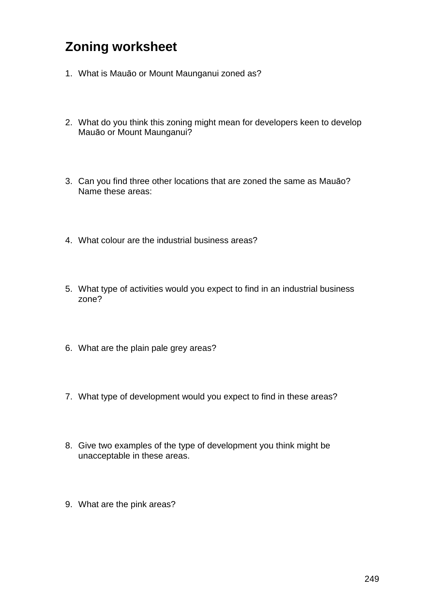## **Zoning worksheet**

- 1. What is Mauāo or Mount Maunganui zoned as?
- 2. What do you think this zoning might mean for developers keen to develop Mauāo or Mount Maunganui?
- 3. Can you find three other locations that are zoned the same as Mauāo? Name these areas:
- 4. What colour are the industrial business areas?
- 5. What type of activities would you expect to find in an industrial business zone?
- 6. What are the plain pale grey areas?
- 7. What type of development would you expect to find in these areas?
- 8. Give two examples of the type of development you think might be unacceptable in these areas.
- 9. What are the pink areas?